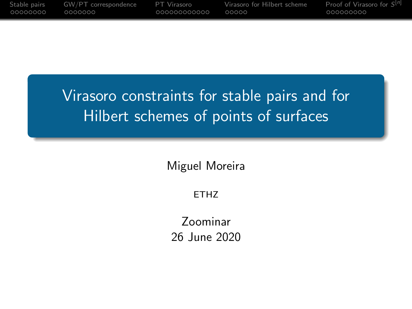<span id="page-0-0"></span>

| Stable pairs | GW/PT correspondence | PT Virasoro   | Virasoro for Hilbert scheme | Proof of Virasoro for S <sup>[n]</sup> |
|--------------|----------------------|---------------|-----------------------------|----------------------------------------|
| . 00000000   | 0000000              | .000000000000 | . റററററ                     | 000000000                              |
|              |                      |               |                             |                                        |

# Virasoro constraints for stable pairs and for Hilbert schemes of points of surfaces

Miguel Moreira

ETHZ

Zoominar 26 June 2020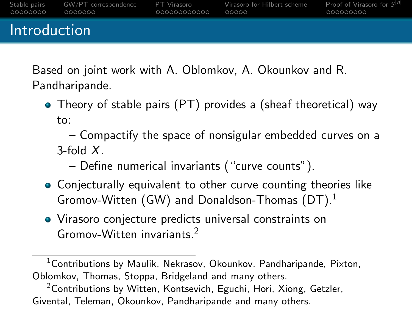[Stable pairs](#page-11-0) [GW/PT correspondence](#page-40-0) [PT Virasoro](#page-0-0) [Virasoro for Hilbert scheme](#page-0-0) [Proof of Virasoro for](#page-0-0) S Proof of Virasoro for  $S^{[n]}$ 0000000 00000000000 00000 Introduction

Based on joint work with A. Oblomkov, A. Okounkov and R. Pandharipande.

• Theory of stable pairs (PT) provides a (sheaf theoretical) way to:

– Compactify the space of nonsigular embedded curves on a  $3$ -fold  $X$ 

- Define numerical invariants ("curve counts").
- Conjecturally equivalent to other curve counting theories like Gromov-Witten (GW) and Donaldson-Thomas (DT).<sup>1</sup>
- Virasoro conjecture predicts universal constraints on Gromov-Witten invariants.<sup>2</sup>

<sup>1</sup>Contributions by Maulik, Nekrasov, Okounkov, Pandharipande, Pixton, Oblomkov, Thomas, Stoppa, Bridgeland and many others.

 $2$ Contributions by Witten, Kontsevich, Eguchi, Hori, Xiong, Getzler, Givental, Teleman, Okounkov, Pandharipande and many others.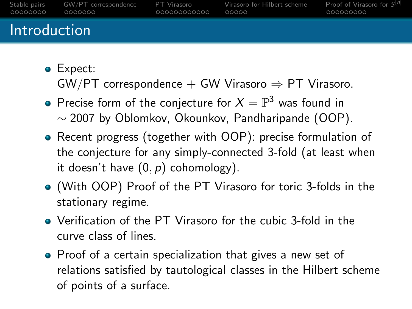| _00000000           | Stable pairs GW/PT correspondence | PT Virasoro  | Virasoro for Hilbert scheme | Proof of Virasoro for $S^{[n]}$ |
|---------------------|-----------------------------------|--------------|-----------------------------|---------------------------------|
|                     | 0000000                           | 000000000000 | 00000                       | 000000000                       |
| <b>Introduction</b> |                                   |              |                             |                                 |

• Expect:

 $GW/PT$  correspondence  $+$  GW Virasoro  $\Rightarrow$  PT Virasoro.

- Precise form of the conjecture for  $X = \mathbb{P}^3$  was found in ∼ 2007 by Oblomkov, Okounkov, Pandharipande (OOP).
- Recent progress (together with OOP): precise formulation of the conjecture for any simply-connected 3-fold (at least when it doesn't have  $(0, p)$  cohomology).
- (With OOP) Proof of the PT Virasoro for toric 3-folds in the stationary regime.
- Verification of the PT Virasoro for the cubic 3-fold in the curve class of lines.
- Proof of a certain specialization that gives a new set of relations satisfied by tautological classes in the Hilbert scheme of points of a surface.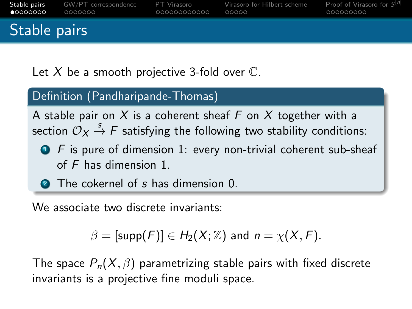| •            | <b>Stable pairs GW/PT</b> correspondence | PT Virasoro   | Virasoro for Hilbert scheme | Proof of Virasoro for $S^{[n]}$ |
|--------------|------------------------------------------|---------------|-----------------------------|---------------------------------|
|              | . 0000000                                | _000000000000 | 00000                       | ,000000000                      |
| Stable pairs |                                          |               |                             |                                 |

Let  $X$  be a smooth projective 3-fold over  $\mathbb{C}$ .

### Definition (Pandharipande-Thomas)

A stable pair on X is a coherent sheaf F on X together with a section  $\mathcal{O}_X \stackrel{s}{\to} F$  satisfying the following two stability conditions:

- $\bullet$  F is pure of dimension 1: every non-trivial coherent sub-sheaf of F has dimension 1.
- **2** The cokernel of s has dimension 0.

We associate two discrete invariants:

$$
\beta = [\text{supp}(F)] \in H_2(X; \mathbb{Z}) \text{ and } n = \chi(X, F).
$$

The space  $P_n(X, \beta)$  parametrizing stable pairs with fixed discrete invariants is a projective fine moduli space.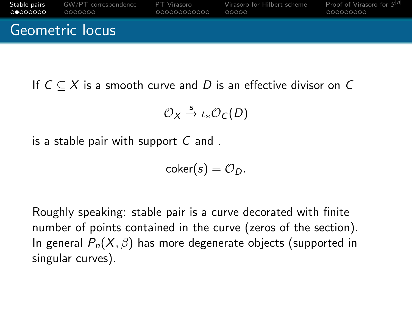

If  $C \subset X$  is a smooth curve and D is an effective divisor on C

$$
\mathcal{O}_X \stackrel{s}{\to} \iota_* \mathcal{O}_C(D)
$$

is a stable pair with support  $C$  and.

$$
\mathsf{coker}(s) = \mathcal{O}_D.
$$

Roughly speaking: stable pair is a curve decorated with finite number of points contained in the curve (zeros of the section). In general  $P_n(X, \beta)$  has more degenerate objects (supported in singular curves).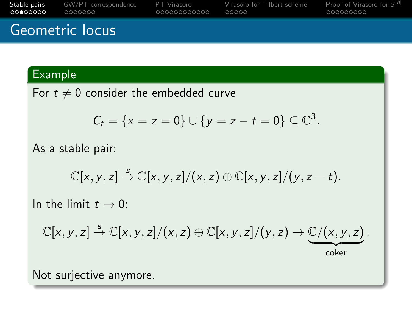| ററ●റററററ | <b>Stable pairs GW/PT</b> correspondence | PT Virasoro   | Virasoro for Hilbert scheme | <b>Proof of Virasoro for <math>S^{[n]}</math></b> |
|----------|------------------------------------------|---------------|-----------------------------|---------------------------------------------------|
|          | 0000000                                  | .000000000000 | 00000                       | 000000000                                         |
|          | Geometric locus                          |               |                             |                                                   |

### Example

For  $t \neq 0$  consider the embedded curve

$$
C_t = \{x = z = 0\} \cup \{y = z - t = 0\} \subseteq \mathbb{C}^3
$$
.

As a stable pair:

$$
\mathbb{C}[x,y,z] \stackrel{s}{\rightarrow} \mathbb{C}[x,y,z]/(x,z) \oplus \mathbb{C}[x,y,z]/(y,z-t).
$$

In the limit  $t \to 0$ :

$$
\mathbb{C}[x,y,z] \stackrel{s}{\rightarrow} \mathbb{C}[x,y,z]/(x,z) \oplus \mathbb{C}[x,y,z]/(y,z) \rightarrow \underbrace{\mathbb{C}/(x,y,z)}_{\text{coker}}.
$$

Not surjective anymore.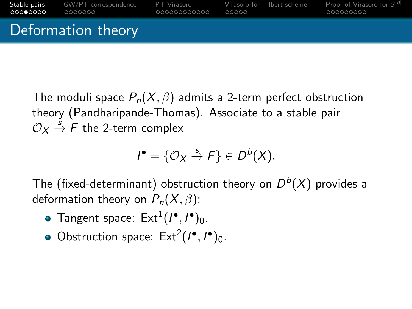

The moduli space  $P_n(X, \beta)$  admits a 2-term perfect obstruction theory (Pandharipande-Thomas). Associate to a stable pair  $\mathcal{O}_X \stackrel{s}{\rightarrow} F$  the 2-term complex

$$
I^{\bullet} = \{ \mathcal{O}_X \stackrel{s}{\rightarrow} F \} \in D^b(X).
$$

The (fixed-determinant) obstruction theory on  $D^b(X)$  provides a deformation theory on  $P_n(X, \beta)$ :

- Tangent space:  $Ext^1(I^{\bullet}, I^{\bullet})_0$ .
- Obstruction space:  $Ext<sup>2</sup>(I<sup>•</sup>, I<sup>•</sup>)<sub>0</sub>$ .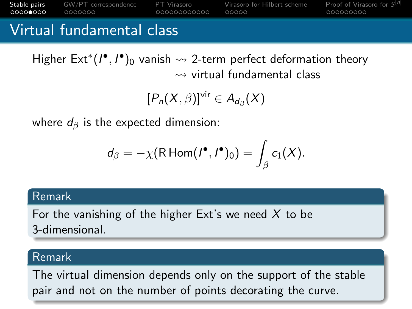[Stable pairs](#page-11-0) [GW/PT correspondence](#page-40-0) [PT Virasoro](#page-0-0) [Virasoro for Hilbert scheme](#page-0-0) [Proof of Virasoro for](#page-0-0) S Proof of Virasoro for  $S^{[n]}$ 0000000 000000000000  $00000$ 

### Virtual fundamental class

Higher  $\mathsf{Ext}^*(I^\bullet, I^\bullet)_0$  vanish  $\leadsto$  2-term perfect deformation theory  $\rightsquigarrow$  virtual fundamental class

$$
[P_n(X,\beta)]^{\text{vir}}\in A_{d_\beta}(X)
$$

where  $d_{\beta}$  is the expected dimension:

$$
d_{\beta}=-\chi(\mathsf{R}\operatorname{\mathsf{Hom}}\nolimits(\mathsf{I}^\bullet,\mathsf{I}^\bullet)_0)=\int_{\beta}c_1(X).
$$

#### Remark

For the vanishing of the higher Ext's we need  $X$  to be 3-dimensional.

#### Remark

The virtual dimension depends only on the support of the stable pair and not on the number of points decorating the curve.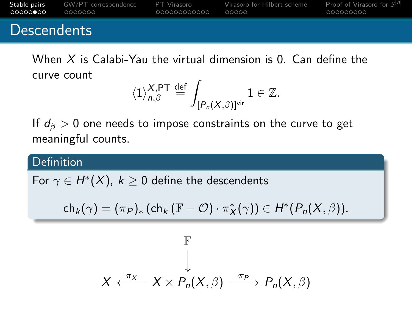[Stable pairs](#page-11-0) [GW/PT correspondence](#page-40-0) [PT Virasoro](#page-0-0) [Virasoro for Hilbert scheme](#page-0-0) [Proof of Virasoro for](#page-0-0) S Proof of Virasoro for  $S^{[n]}$ 

### **Descendents**

When  $X$  is Calabi-Yau the virtual dimension is  $0$ . Can define the curve count

$$
\langle 1 \rangle^{\mathcal{X},\mathsf{PT}}_{\mathsf{n},\beta} \stackrel{\mathrm{def}}{=} \int_{[P_{\mathsf{n}}(\mathcal{X},\beta)]^{\mathrm{vir}}} 1 \in \mathbb{Z}.
$$

If  $d_{\beta} > 0$  one needs to impose constraints on the curve to get meaningful counts.

#### **Definition**

For  $\gamma \in H^*(X)$ ,  $k \geq 0$  define the descendents

$$
\mathsf{ch}_k(\gamma)=(\pi_P)_*\left(\mathsf{ch}_k\left(\mathbb{F}-\mathcal{O}\right)\cdot\pi_X^*(\gamma)\right)\in H^*(P_n(X,\beta)).
$$

$$
\mathbb{F}
$$
\n
$$
\downarrow
$$
\n
$$
X \leftarrow \frac{\pi_X}{X} \times P_n(X, \beta) \xrightarrow{\pi_P} P_n(X, \beta)
$$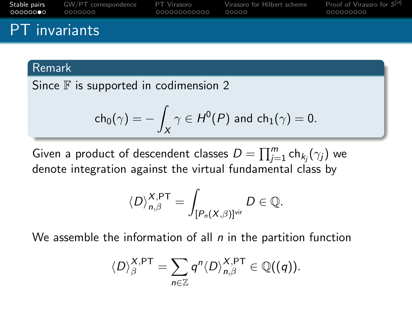| റററററൈ⊜റ             | <b>Stable pairs</b> GW/PT correspondence | PT Virasoro    | Virasoro for Hilbert scheme | Proof of Virasoro for $S^{[n]}$ |
|----------------------|------------------------------------------|----------------|-----------------------------|---------------------------------|
|                      | l annonon i                              | - 000000000000 | 00000                       | 000000000                       |
| <b>PT</b> invariants |                                          |                |                             |                                 |

#### Remark

Since  $F$  is supported in codimension 2

$$
\mathsf{ch}_0(\gamma) = -\int_X \gamma \in H^0(P) \text{ and } \mathsf{ch}_1(\gamma) = 0.
$$

Given a product of descendent classes  $D=\prod_{j=1}^m \ch_{k_j}(\gamma_j)$  we denote integration against the virtual fundamental class by

$$
\langle D \rangle^{X,\text{PT}}_{n,\beta} = \int_{[P_n(X,\beta)]^{\text{vir}}} D \in \mathbb{Q}.
$$

We assemble the information of all  $n$  in the partition function

$$
\langle D \rangle^{\mathsf{X},\mathsf{PT}}_\beta = \sum_{n \in \mathbb{Z}} q^n \langle D \rangle^{\mathsf{X},\mathsf{PT}}_{n,\beta} \in \mathbb{Q}((q)).
$$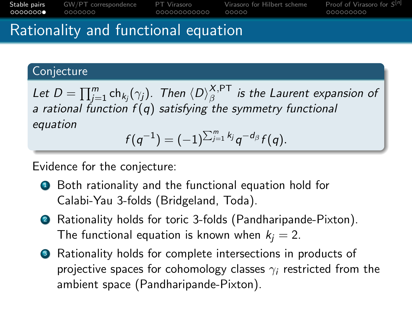Proof of Virasoro for  $S^{[n]}$ [Stable pairs](#page-11-0) [GW/PT correspondence](#page-40-0) [PT Virasoro](#page-0-0) [Virasoro for Hilbert scheme](#page-0-0) [Proof of Virasoro for](#page-0-0) S  $0000000$ 0000000 000000000000  $00000$ 

### Rationality and functional equation

### **Conjecture**

Let  $D=\prod_{j=1}^m\mathsf{ch}_{k_j}(\gamma_j).$  Then  $\langle D \rangle^{\mathsf{X},\mathsf{PT}}_\beta$  $\hat{\mathcal{B}}^{\gamma,\mathsf{F}+\mathsf{I}}$  is the Laurent expansion of a rational function  $f(q)$  satisfying the symmetry functional equation

$$
f(q^{-1}) = (-1)^{\sum_{j=1}^m k_j} q^{-d_{\beta}} f(q).
$$

Evidence for the conjecture:

- Both rationality and the functional equation hold for Calabi-Yau 3-folds (Bridgeland, Toda).
- <sup>2</sup> Rationality holds for toric 3-folds (Pandharipande-Pixton). The functional equation is known when  $k_i = 2$ .
- <sup>3</sup> Rationality holds for complete intersections in products of projective spaces for cohomology classes  $\gamma_i$  restricted from the ambient space (Pandharipande-Pixton).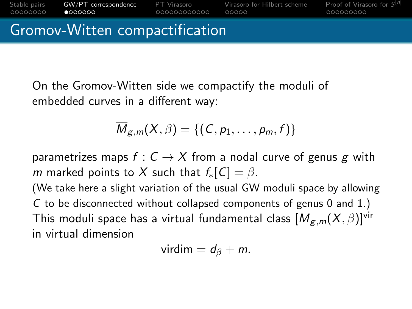<span id="page-11-0"></span>

On the Gromov-Witten side we compactify the moduli of embedded curves in a different way:

$$
\overline{M}_{g,m}(X,\beta)=\{(C,p_1,\ldots,p_m,f)\}
$$

parametrizes maps  $f: C \rightarrow X$  from a nodal curve of genus g with m marked points to X such that  $f_*[C] = \beta$ .

(We take here a slight variation of the usual GW moduli space by allowing C to be disconnected without collapsed components of genus 0 and 1.) This moduli space has a virtual fundamental class  $[\overline{M}_{g,m}(X,\beta)]^{\text{vir}}$ in virtual dimension

$$
virdim = d_{\beta} + m.
$$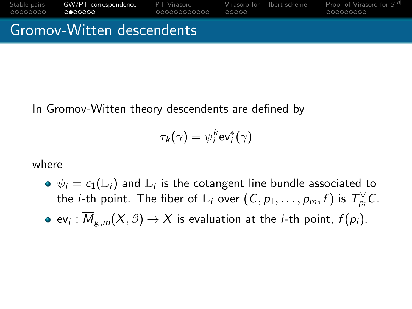[Stable pairs](#page-11-0) [GW/PT correspondence](#page-40-0) [PT Virasoro](#page-0-0) [Virasoro for Hilbert scheme](#page-0-0) Proof of Virasoro for  $S^{[n]}$ 00000000  $0000000$ 000000000000  $00000$ 000000000

Gromov-Witten descendents

In Gromov-Witten theory descendents are defined by

$$
\tau_k(\gamma) = \psi_i^k \text{ev}_i^*(\gamma)
$$

where

- $\psi_i = c_1(\mathbb{L}_i)$  and  $\mathbb{L}_i$  is the cotangent line bundle associated to the *i*-th point. The fiber of  $\mathbb{L}_i$  over  $(C, p_1, \ldots, p_m, f)$  is  $T_{p_i}^{\vee}C$ .
- ev $_{i}$  :  ${M}_{\mathcal{g},m}(X,\beta)\to X$  is evaluation at the  $i$ -th point,  $f(p_{i}).$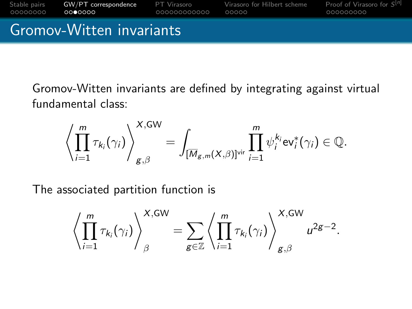

Gromov-Witten invariants are defined by integrating against virtual fundamental class:

$$
\left\langle \prod_{i=1}^m \tau_{k_i}(\gamma_i) \right\rangle_{g,\beta}^{X,\mathrm{GW}} = \int_{[\overline{M}_{g,m}(X,\beta)]^{\mathrm{vir}}} \prod_{i=1}^m \psi_i^{k_i} \mathrm{ev}_i^*(\gamma_i) \in \mathbb{Q}.
$$

The associated partition function is

$$
\left\langle \prod_{i=1}^m \tau_{k_i}(\gamma_i) \right\rangle_{\beta}^{X,\text{GW}} = \sum_{g \in \mathbb{Z}} \left\langle \prod_{i=1}^m \tau_{k_i}(\gamma_i) \right\rangle_{g,\beta}^{X,\text{GW}} u^{2g-2}.
$$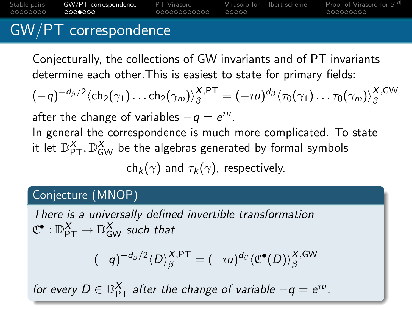[Stable pairs](#page-11-0) [GW/PT correspondence](#page-40-0) [PT Virasoro](#page-0-0) [Virasoro for Hilbert scheme](#page-0-0) Proof of Virasoro for  $S^{[n]}$ 00000000  $0000000$ 000000000000  $00000$ 000000000

## GW/PT correspondence

Conjecturally, the collections of GW invariants and of PT invariants determine each other.This is easiest to state for primary fields:

$$
(-q)^{-d_{\beta}/2}\langle \mathsf{ch}_2(\gamma_1)\dots\mathsf{ch}_2(\gamma_m)\rangle^{\mathsf{X},\mathsf{PT}}_{\beta} = (-\imath u)^{d_{\beta}}\langle \tau_0(\gamma_1)\dots\tau_0(\gamma_m)\rangle^{\mathsf{X},\mathsf{GW}}_{\beta}
$$

after the change of variables  $-q = e^{iu}$ .

In general the correspondence is much more complicated. To state it let  $\mathbb{D}_{\mathsf{PT}}^X, \mathbb{D}_{\mathsf{GW}}^X$  be the algebras generated by formal symbols

 $ch_k(\gamma)$  and  $\tau_k(\gamma)$ , respectively.

### Conjecture (MNOP)

There is a universally defined invertible transformation  $\mathfrak{C}^\bullet : \mathbb{D}^X_{\mathsf{PT}} \to \mathbb{D}^X_{\mathsf{GW}}$  such that

$$
(-q)^{-d_{\beta}/2}\langle D \rangle^{\mathsf{X},\mathsf{PT}}_{\beta}=(-\imath u)^{d_{\beta}}\langle \mathfrak{C}^{\bullet}(D) \rangle^{\mathsf{X},\mathsf{GW}}_{\beta}
$$

for every  $D \in \mathbb{D}_{\mathsf{PT}}^X$  after the change of variable  $-q = e^{\imath u}.$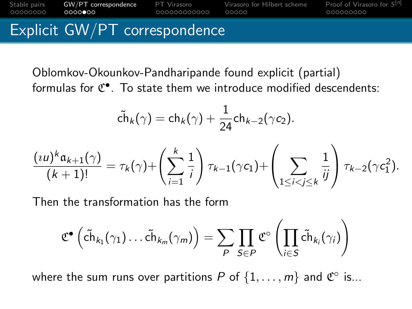#### [Stable pairs](#page-11-0) [GW/PT correspondence](#page-40-0) [PT Virasoro](#page-0-0) [Virasoro for Hilbert scheme](#page-0-0) [Proof of Virasoro for](#page-0-0) S Proof of Virasoro for  $S^{[n]}$ 000000000000  $00000$ Explicit GW/PT correspondence

Oblomkov-Okounkov-Pandharipande found explicit (partial) formulas for  $C^{\bullet}$ . To state them we introduce modified descendents:

$$
\tilde{\mathsf{ch}}_k(\gamma) = \mathsf{ch}_k(\gamma) + \frac{1}{24} \mathsf{ch}_{k-2}(\gamma c_2).
$$

$$
\frac{(i\mathbf{u})^k \mathfrak{a}_{k+1}(\gamma)}{(k+1)!} = \tau_k(\gamma) + \left(\sum_{i=1}^k \frac{1}{i}\right) \tau_{k-1}(\gamma c_1) + \left(\sum_{1 \leq i < j \leq k} \frac{1}{ij}\right) \tau_{k-2}(\gamma c_1^2).
$$

Then the transformation has the form

$$
\mathfrak{C}^{\bullet}\left(\tilde{ch}_{k_1}(\gamma_1)\ldots \tilde{ch}_{k_m}(\gamma_m)\right)=\sum_{P}\prod_{S\in P}\mathfrak{C}^{\circ}\left(\prod_{i\in S}\tilde{ch}_{k_i}(\gamma_i)\right)
$$

where the sum runs over partitions P of  $\{1,\ldots,m\}$  and  $\mathfrak{C}^\circ$  is...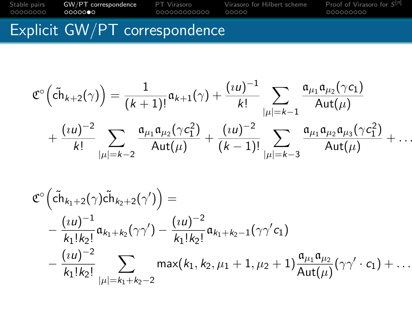### [Stable pairs](#page-11-0) [GW/PT correspondence](#page-40-0) [PT Virasoro](#page-0-0) [Virasoro for Hilbert scheme](#page-0-0) [Proof of Virasoro for](#page-0-0) S Proof of Virasoro for  $S^{[n]}$

### Explicit GW/PT correspondence

$$
\mathfrak{C}^{\circ}\Big(\tilde{\mathrm{ch}}_{k+2}(\gamma)\Big) = \frac{1}{(k+1)!} \mathfrak{a}_{k+1}(\gamma) + \frac{(i\mathsf{u})^{-1}}{k!} \sum_{|\mu|=k-1} \frac{\mathfrak{a}_{\mu_1} \mathfrak{a}_{\mu_2}(\gamma \mathsf{c}_1)}{\mathsf{Aut}(\mu)} \\ + \frac{(i\mathsf{u})^{-2}}{k!} \sum_{|\mu|=k-2} \frac{\mathfrak{a}_{\mu_1} \mathfrak{a}_{\mu_2}(\gamma \mathsf{c}_1^2)}{\mathsf{Aut}(\mu)} + \frac{(i\mathsf{u})^{-2}}{(k-1)!} \sum_{|\mu|=k-3} \frac{\mathfrak{a}_{\mu_1} \mathfrak{a}_{\mu_2} \mathfrak{a}_{\mu_3}(\gamma \mathsf{c}_1^2)}{\mathsf{Aut}(\mu)} + \dots
$$

$$
\mathfrak{C}^{\circ}\left(\tilde{ch}_{k_1+2}(\gamma)\tilde{ch}_{k_2+2}(\gamma')\right) = \\ -\frac{(u)^{-1}}{k_1!k_2!}\mathfrak{a}_{k_1+k_2}(\gamma\gamma') - \frac{(u)^{-2}}{k_1!k_2!}\mathfrak{a}_{k_1+k_2-1}(\gamma\gamma'c_1) \\ -\frac{(u)^{-2}}{k_1!k_2!}\sum_{|\mu|=k_1+k_2-2} \max(k_1, k_2, \mu_1+1, \mu_2+1)\frac{\mathfrak{a}_{\mu_1}\mathfrak{a}_{\mu_2}}{\text{Aut}(\mu)}(\gamma\gamma' \cdot c_1) + \dots
$$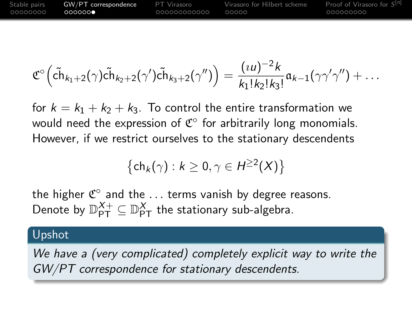| Stable pairs | GW/PT correspondence | PT Virasoro  | Virasoro for Hilbert scheme | Proof of Virasoro for S <sup>[n]</sup> |
|--------------|----------------------|--------------|-----------------------------|----------------------------------------|
| 00000000     | 0000000              | 000000000000 | ററററ                        | _000000000                             |

$$
\mathfrak{C}^{\circ}\Big(\tilde{ch}_{k_1+2}(\gamma)\tilde{ch}_{k_2+2}(\gamma')\tilde{ch}_{k_3+2}(\gamma'')\Big)=\frac{(\imath u)^{-2}k}{k_1!k_2!k_3!}\mathfrak{a}_{k-1}(\gamma\gamma'\gamma'')+\ldots
$$

for  $k = k_1 + k_2 + k_3$ . To control the entire transformation we would need the expression of  $\mathfrak{C}^\circ$  for arbitrarily long monomials. However, if we restrict ourselves to the stationary descendents

$$
\left\{\mathsf{ch}_k(\gamma):k\geq 0, \gamma\in H^{\geq 2}(X)\right\}
$$

the higher  $\mathfrak{C}^\circ$  and the  $\ldots$  terms vanish by degree reasons. Denote by  $\mathbb{D}_{\mathsf{PT}}^{X+}\subseteq \mathbb{D}_{\mathsf{PT}}^{X}$  the stationary sub-algebra.

#### Upshot

We have a (very complicated) completely explicit way to write the GW/PT correspondence for stationary descendents.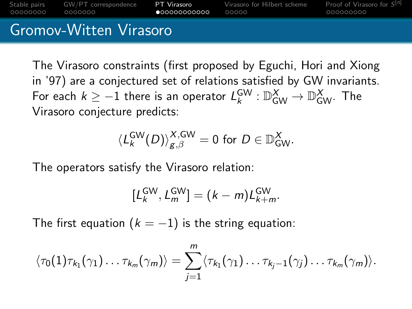[Stable pairs](#page-11-0) [GW/PT correspondence](#page-40-0) [PT Virasoro](#page-0-0) [Virasoro for Hilbert scheme](#page-0-0) Proof of Virasoro for  $S^{[n]}$ 00000000 0000000  $•000000000000$  $00000$ 000000000

### Gromov-Witten Virasoro

The Virasoro constraints (first proposed by Eguchi, Hori and Xiong in '97) are a conjectured set of relations satisfied by GW invariants. For each  $k\geq -1$  there is an operator  $\mathcal{L}_{k}^{\textsf{GW}}: \mathbb{D}^{\textsf{X}}_{\textsf{GW}} \to \mathbb{D}^{\textsf{X}}_{\textsf{GW}}$ . The Virasoro conjecture predicts:

$$
\langle L_k^{\text{GW}}(D) \rangle_{g,\beta}^{X,\text{GW}} = 0 \text{ for } D \in \mathbb{D}_{\text{GW}}^X.
$$

The operators satisfy the Virasoro relation:

$$
[L_k^{\text{GW}}, L_m^{\text{GW}}] = (k - m)L_{k+m}^{\text{GW}}.
$$

The first equation ( $k = -1$ ) is the string equation:

$$
\langle \tau_0(1)\tau_{k_1}(\gamma_1)\dots\tau_{k_m}(\gamma_m)\rangle=\sum_{j=1}^m\langle \tau_{k_1}(\gamma_1)\dots\tau_{k_j-1}(\gamma_j)\dots\tau_{k_m}(\gamma_m)\rangle.
$$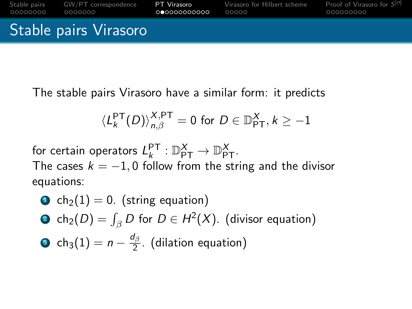

The stable pairs Virasoro have a similar form: it predicts

$$
\langle L_{k}^{\mathsf{PT}}(D)\rangle_{n,\beta}^{X,\mathsf{PT}}=0\,\,\text{for}\,\,D\in{\mathbb{D}}_{\mathsf{PT}}^X,\,k\ge-1
$$

for certain operators  $L_{k}^{\mathsf{PT}}: \mathbb{D}_{\mathsf{PT}}^{X} \to \mathbb{D}_{\mathsf{PT}}^{X}$ . The cases  $k = -1, 0$  follow from the string and the divisor equations:

\n- **O** 
$$
ch_2(1) = 0
$$
. (string equation)
\n- **O**  $ch_2(D) = \int_{\beta} D$  for  $D \in H^2(X)$ . (divisor equation)
\n- **O**  $ch_3(1) = n - \frac{d_\beta}{2}$ . (dilation equation)
\n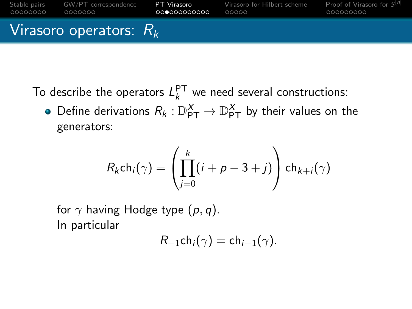

To describe the operators  $L_k^{\text{PT}}$  we need several constructions:

Define derivations  $R_k: \mathbb{D}_{\mathsf{PT}}^X \to \mathbb{D}_{\mathsf{PT}}^X$  by their values on the generators:

$$
R_k ch_i(\gamma) = \left(\prod_{j=0}^k (i+p-3+j)\right) ch_{k+j}(\gamma)
$$

for  $\gamma$  having Hodge type  $(p, q)$ . In particular

$$
R_{-1}ch_i(\gamma)=ch_{i-1}(\gamma).
$$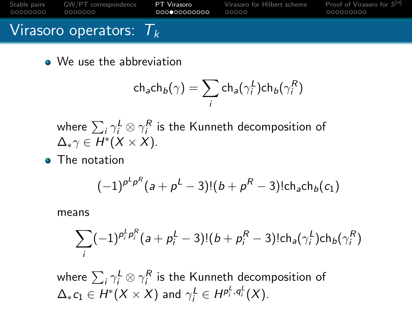[Stable pairs](#page-11-0) [GW/PT correspondence](#page-40-0) **[PT Virasoro](#page-0-0)** [Virasoro for Hilbert scheme](#page-0-0) Proof of Virasoro **Proof of Virasoro conducts** on the october of the proof of Virasoro **conducts** of the proof of the proof of the proof of the pr Proof of Virasoro for  $S^{[n]}$ 0000000  $00000$ Virasoro operators:  $T_k$ 

• We use the abbreviation

$$
\mathsf{ch}_\mathsf{a}\mathsf{ch}_\mathsf{b}(\gamma) = \sum_i \mathsf{ch}_\mathsf{a}(\gamma_i^L)\mathsf{ch}_\mathsf{b}(\gamma_i^R)
$$

where  $\sum_i \gamma^L_i \otimes \gamma^R_i$  is the Kunneth decomposition of  $\Delta_* \gamma \in H^*(X \times X)$ .

**o** The notation

$$
(-1)^{p^L p^R} (a + p^L - 3)!(b + p^R - 3)! \text{ch}_a \text{ch}_b(c_1)
$$

means

$$
\sum_{i} (-1)^{p_i^L p_i^R} (a + p_i^L - 3)!(b + p_i^R - 3)! ch_a(\gamma_i^L) ch_b(\gamma_i^R)
$$

where  $\sum_i \gamma^L_i \otimes \gamma^R_i$  is the Kunneth decomposition of  $\Delta_* c_1 \in H^*(X \times X)$  and  $\gamma_i^L \in H^{p_i^L, q_i^L}(X).$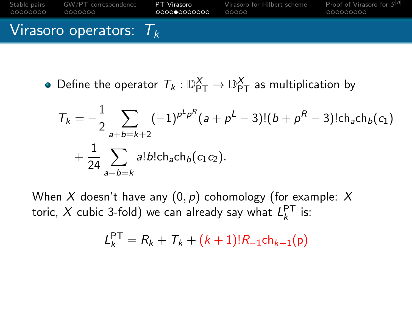

Define the operator  $\mathcal{T}_k: \mathbb{D}_{\mathsf{PT}}^X \to \mathbb{D}_{\mathsf{PT}}^X$  as multiplication by

$$
T_k = -\frac{1}{2} \sum_{a+b=k+2} (-1)^{p^L p^R} (a + p^L - 3)!(b + p^R - 3)! \text{ch}_a \text{ch}_b(c_1) + \frac{1}{24} \sum_{a+b=k} a! b! \text{ch}_a \text{ch}_b(c_1 c_2).
$$

When X doesn't have any  $(0, p)$  cohomology (for example: X toric, X cubic 3-fold) we can already say what  $L_{k}^{\mathsf{PT}}$  is:

$$
L_k^{\text{PT}} = R_k + T_k + (k+1)!R_{-1}ch_{k+1}(p)
$$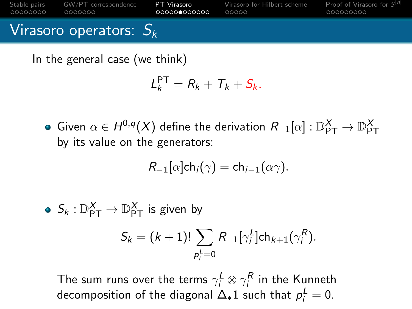[Stable pairs](#page-11-0) [GW/PT correspondence](#page-40-0) [PT Virasoro](#page-0-0) [Virasoro for Hilbert scheme](#page-0-0) Proof of Virasoro for  $S^{[n]}$ 00000000 0000000 000000000000  $00000$ 000000000 Virasoro operators:  $S_k$ 

In the general case (we think)

$$
L_k^{\text{PT}} = R_k + T_k + S_k.
$$

Given  $\alpha \in H^{0,q}(X)$  define the derivation  $R_{-1}[\alpha]:\mathbb{D}^{X}_{\mathsf{PT}}\to \mathbb{D}^{X}_{\mathsf{PT}}$ by its value on the generators:

$$
R_{-1}[\alpha]ch_i(\gamma) = ch_{i-1}(\alpha\gamma).
$$

 $S_k: \mathbb{D}_{\mathsf{PT}}^X \to \mathbb{D}_{\mathsf{PT}}^X$  is given by  $S_k = (k+1)! \sum R_{-1} [\gamma_i^L] \mathsf{ch}_{k+1}(\gamma_i^R).$  $p_i^L=0$ 

The sum runs over the terms  $\gamma^L_i \otimes \gamma^R_i$  in the Kunneth decomposition of the diagonal  $\Delta_* 1$  such that  $\rho_i^L=0.$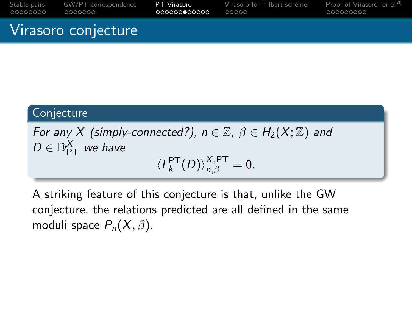| 00000000 | Stable pairs GW/PT correspondence | PT Virasoro  | Virasoro for Hilbert scheme | Proof of Virasoro for S <sup>[n]</sup> |
|----------|-----------------------------------|--------------|-----------------------------|----------------------------------------|
|          | 0000000                           | 000000000000 | 00000                       | 000000000                              |
|          | Virasoro conjecture               |              |                             |                                        |

# **Conjecture**

For any X (simply-connected?),  $n \in \mathbb{Z}$ ,  $\beta \in H_2(X;\mathbb{Z})$  and  $D \in \mathbb{D}_{\mathsf{PT}}^X$  we have  $\langle L_k^{\mathsf{PT}}(D)\rangle_{n,\beta}^{X,\mathsf{PT}}=0.$ 

A striking feature of this conjecture is that, unlike the GW conjecture, the relations predicted are all defined in the same moduli space  $P_n(X, \beta)$ .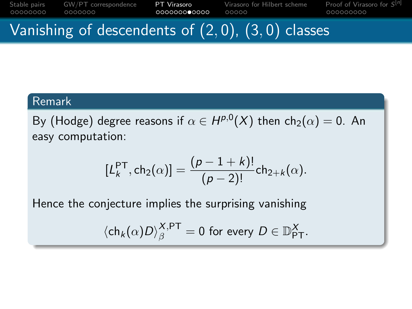[Stable pairs](#page-11-0) [GW/PT correspondence](#page-40-0) **[PT Virasoro](#page-0-0)** [Virasoro for Hilbert scheme](#page-0-0) Proof of Virasoro **Proof of Virasoro correspondence proof of Virasoro execution** Proof of Virasoro for  $S^{[n]}$ 0000000 00000

### Vanishing of descendents of  $(2,0)$ ,  $(3,0)$  classes

#### Remark

By (Hodge) degree reasons if  $\alpha \in H^{p,0}(X)$  then  $\mathsf{ch}_2(\alpha) = 0.$  An easy computation:

$$
[L_k^{\mathsf{PT}}, \mathsf{ch}_2(\alpha)] = \frac{(p-1+k)!}{(p-2)!} \mathsf{ch}_{2+k}(\alpha).
$$

Hence the conjecture implies the surprising vanishing

 $\langle \mathsf{ch}_k(\alpha)D \rangle^{\mathsf{X},\mathsf{PT}}_\beta = 0$  for every  $D \in \mathbb{D}^\mathsf{X}_{\mathsf{PT}}.$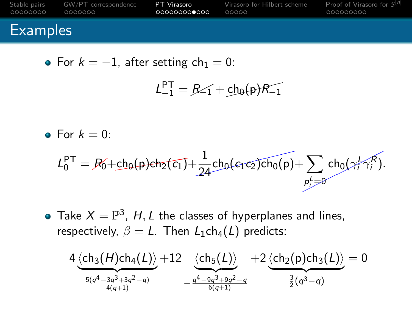| 00000000        | Stable pairs GW/PT correspondence | PT Virasoro   | Virasoro for Hilbert scheme | Proof of Virasoro for S <sup>[n]</sup> |
|-----------------|-----------------------------------|---------------|-----------------------------|----------------------------------------|
|                 | . 0000000                         | .000000000000 | 00000                       | ,000000000                             |
| <b>Examples</b> |                                   |               |                             |                                        |

• For 
$$
k = -1
$$
, after setting  $ch_1 = 0$ :

$$
L_{-1}^{PT} = R \angle 1 + ch_0(p)R_{-1}
$$

• For  $k = 0$ :

$$
L_0^{PT} = R_0' + ch_0(p) \varepsilon h_2(\overline{c_1}) + \frac{1}{24} ch_0(\varepsilon_1 \overline{c_2}) \overline{ch_0(p)} + \sum_{p_j' = 0} ch_0(\gamma_j^L \gamma_j^R).
$$

Take  $X = \mathbb{P}^3$ , H, L the classes of hyperplanes and lines, respectively,  $\beta = L$ . Then  $L_1ch_4(L)$  predicts:

$$
4\underbrace{\langle ch_3(H)ch_4(L)\rangle}_{\frac{5(q^4-3q^3+3q^2-q)}{4(q+1)}}+12\underbrace{\langle ch_5(L)\rangle}_{-\frac{q^4-9q^3+9q^2-q}{6(q+1)}}+2\underbrace{\langle ch_2(p)ch_3(L)\rangle}_{\frac{3}{2}(q^3-q)}=0
$$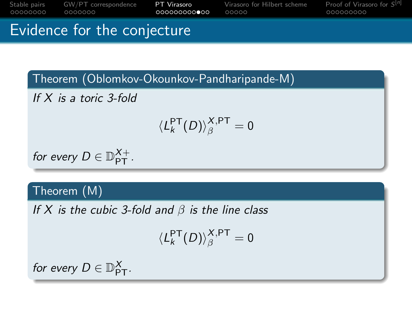[Stable pairs](#page-11-0) [GW/PT correspondence](#page-40-0) [PT Virasoro](#page-0-0) [Virasoro for Hilbert scheme](#page-0-0) [Proof of Virasoro for](#page-0-0) S Proof of Virasoro for  $S^{[n]}$ 

Evidence for the conjecture

Theorem (Oblomkov-Okounkov-Pandharipande-M)

If X is a toric 3-fold

$$
\langle L_k^{\mathsf{PT}}(D)\rangle^{X,\mathsf{PT}}_\beta=0
$$

for every  $D \in \mathbb{D}_{\text{PT}}^{X+}$ .

### Theorem (M)

If X is the cubic 3-fold and  $\beta$  is the line class

$$
\langle L_k^{\mathsf{PT}}(D) \rangle_\beta^{X,\mathsf{PT}}=0
$$

for every  $D \in \mathbb{D}_{\mathsf{PT}}^X$ .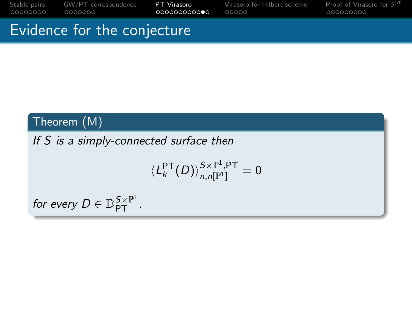[Stable pairs](#page-11-0) [GW/PT correspondence](#page-40-0) **[PT Virasoro](#page-0-0)** [Virasoro for Hilbert scheme](#page-0-0) Proof of Virasoro **Proof of Virasoro** cocoocooco **come come contained a virasoro contained a virasoro contained contained variable contained conta** Proof of Virasoro for  $S^{[n]}$ 

### Evidence for the conjecture

### Theorem (M)

### If S is a simply-connected surface then

$$
\langle L_k^{\mathsf{PT}}(D)\rangle_{n,n[\mathbb{P}^1]}^{\mathsf{S}\times\mathbb{P}^1,\mathsf{PT}}=0
$$

for every  $D \in \mathbb{D}_{\mathsf{PT}}^{S \times \mathbb{P}^1}.$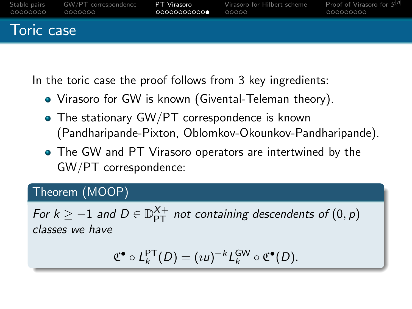| 00000000   | Stable pairs GW/PT correspondence | PT Virasoro   | Virasoro for Hilbert scheme | Proof of Virasoro for S <sup>[n]</sup> |
|------------|-----------------------------------|---------------|-----------------------------|----------------------------------------|
|            | . 0000000                         | .000000000000 | COOOO .                     | 000000000                              |
| Toric case |                                   |               |                             |                                        |

In the toric case the proof follows from 3 key ingredients:

- Virasoro for GW is known (Givental-Teleman theory).
- The stationary GW/PT correspondence is known (Pandharipande-Pixton, Oblomkov-Okounkov-Pandharipande).
- The GW and PT Virasoro operators are intertwined by the GW/PT correspondence:

### Theorem (MOOP)

For  $k \ge -1$  and  $D \in \mathbb{D}_{\mathsf{PT}}^{X+}$  not containing descendents of  $(0,p)$ classes we have

$$
\mathfrak{C}^{\bullet} \circ L_{k}^{\mathsf{PT}}(D) = (uu)^{-k} L_{k}^{\mathsf{GW}} \circ \mathfrak{C}^{\bullet}(D).
$$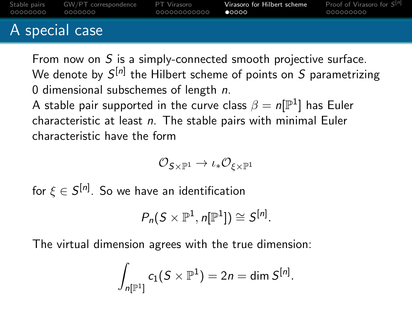| _00000000      | Stable pairs GW/PT correspondence PT Virasoro<br>0000000 | - 000000000000 | Virasoro for Hilbert scheme<br>00000 | <b>Proof of Virasoro for <math>S^{[n]}</math></b><br>000000000 |
|----------------|----------------------------------------------------------|----------------|--------------------------------------|----------------------------------------------------------------|
| A special case |                                                          |                |                                      |                                                                |

From now on S is a simply-connected smooth projective surface. We denote by  $\mathcal{S}^{[n]}$  the Hilbert scheme of points on  $S$  parametrizing 0 dimensional subschemes of length n.

A stable pair supported in the curve class  $\beta=n[\mathbb{P}^1]$  has Euler characteristic at least  $n$ . The stable pairs with minimal Euler characteristic have the form

$$
\mathcal{O}_{\mathsf{S}\times\mathbb{P}^1}\to\iota_*\mathcal{O}_{\xi\times\mathbb{P}^1}
$$

for  $\xi \in \mathcal{S}^{[n]}$ . So we have an identification

$$
P_n(S\times \mathbb{P}^1, n[\mathbb{P}^1])\cong S^{[n]}.
$$

The virtual dimension agrees with the true dimension:

$$
\int_{n[\mathbb{P}^1]} c_1(S \times \mathbb{P}^1) = 2n = \dim S^{[n]}.
$$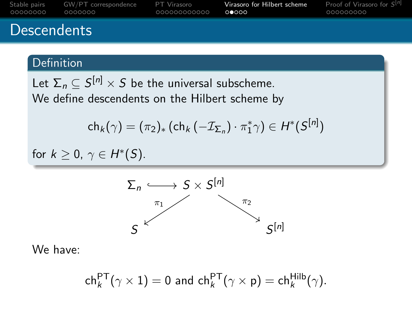| 00000000    | Stable pairs GW/PT correspondence | PT Virasoro   | Virasoro for Hilbert scheme | Proof of Virasoro for $S^{[n]}$ |
|-------------|-----------------------------------|---------------|-----------------------------|---------------------------------|
|             | 0000000                           | _000000000000 | റ∩റെറ                       | ,000000000                      |
| Descendents |                                   |               |                             |                                 |

### **Definition**

Let  $\Sigma_n\subseteq S^{[n]}\times S$  be the universal subscheme. We define descendents on the Hilbert scheme by

$$
\mathsf{ch}_k(\gamma) = (\pi_2)_* \left( \mathsf{ch}_k \left( -\mathcal{I}_{\mathsf{\Sigma}_n} \right) \cdot \pi_1^* \gamma \right) \in H^*(\mathsf{S}^{[n]})
$$

for  $k \geq 0$ ,  $\gamma \in H^*(S)$ .



We have:

$$
\mathsf{ch}^{\mathsf{PT}}_k(\gamma \times 1) = 0 \text{ and } \mathsf{ch}^{\mathsf{PT}}_k(\gamma \times \mathsf{p}) = \mathsf{ch}^{\mathsf{Hilb}}_k(\gamma).
$$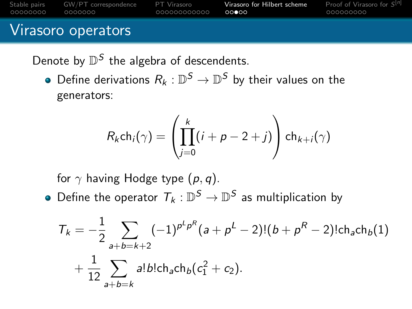| 00000000 | Stable pairs GW/PT correspondence | PT Virasoro   | Virasoro for Hilbert scheme | <b>Proof of Virasoro for <math>S^{[n]}</math></b> |
|----------|-----------------------------------|---------------|-----------------------------|---------------------------------------------------|
|          | - 0000000                         | .000000000000 | 00000                       | 000000000                                         |
|          | Virasoro operators                |               |                             |                                                   |

Denote by  $\mathbb{D}^S$  the algebra of descendents.

Define derivations  $R_k: \mathbb{D}^S \to \mathbb{D}^S$  by their values on the generators:

$$
R_k ch_i(\gamma) = \left(\prod_{j=0}^k (i+p-2+j)\right) ch_{k+i}(\gamma)
$$

for  $\gamma$  having Hodge type  $(p, q)$ .

Define the operator  $T_k: \mathbb{D}^S \to \mathbb{D}^S$  as multiplication by

$$
T_{k} = -\frac{1}{2} \sum_{a+b=k+2} (-1)^{p^{L}p^{R}} (a + p^{L} - 2)!(b + p^{R} - 2)! \text{ch}_{a} \text{ch}_{b}(1)
$$
  
+ 
$$
\frac{1}{12} \sum_{a+b=k} a! b! \text{ch}_{a} \text{ch}_{b} (c_{1}^{2} + c_{2}).
$$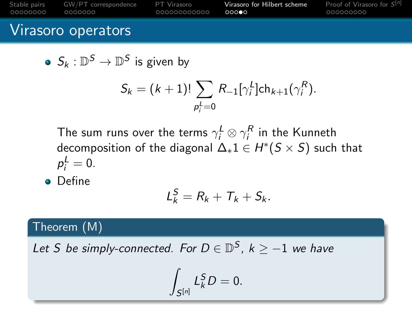| 00000000           | Stable pairs GW/PT correspondence | PT Virasoro   | Virasoro for Hilbert scheme | <b>Proof of Virasoro for <math>S^{[n]}</math></b> |  |  |  |
|--------------------|-----------------------------------|---------------|-----------------------------|---------------------------------------------------|--|--|--|
|                    | 0000000                           | _000000000000 | റററൈ                        | 000000000                                         |  |  |  |
| Virasoro operators |                                   |               |                             |                                                   |  |  |  |

• 
$$
S_k : \mathbb{D}^S \to \mathbb{D}^S
$$
 is given by

$$
S_k = (k+1)! \sum_{p_i^L=0} R_{-1} [\gamma_i^L] ch_{k+1}(\gamma_i^R).
$$

The sum runs over the terms  $\gamma^L_i\otimes\gamma^R_i$  in the Kunneth decomposition of the diagonal  $\Delta_* 1 \in H^*(S \times S)$  such that  $p_i^L=0.$ 

**o** Define

$$
L_k^S=R_k+T_k+S_k.
$$

### Theorem (M)

Let S be simply-connected. For  $D \in \mathbb{D}^S$ ,  $k \ge -1$  we have

$$
\int_{S^{[n]}} L_k^S D = 0.
$$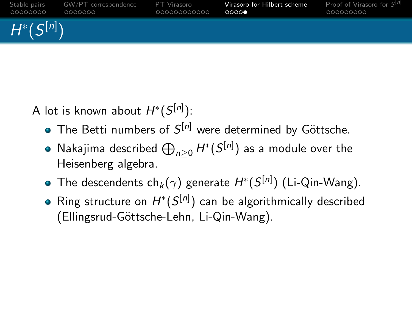

A lot is known about  $H^*(S^{[n]})$ :

- The Betti numbers of  $S^{[n]}$  were determined by Göttsche.
- Nakajima described  $\bigoplus_{n\geq 0} H^*(S^{[n]})$  as a module over the Heisenberg algebra.
- The descendents ch $_k(\gamma)$  generate  $H^*(S^{[n]})$  (Li-Qin-Wang).
- Ring structure on  $H^*(S^{[n]})$  can be algorithmically described (Ellingsrud-Göttsche-Lehn, Li-Qin-Wang).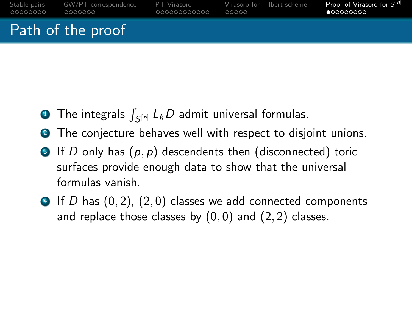| 00000000          | Stable pairs GW/PT correspondence | PT Virasoro   | Virasoro for Hilbert scheme | <b>Proof of Virasoro for <math>S^{[n]}</math></b> |  |  |  |
|-------------------|-----------------------------------|---------------|-----------------------------|---------------------------------------------------|--|--|--|
|                   | 0000000                           | _000000000000 | 00000                       | $\bullet$ 00000000                                |  |  |  |
| Path of the proof |                                   |               |                             |                                                   |  |  |  |

- **D** The integrals  $\int_{\mathcal{S}^{[n]}} L_kD$  admit universal formulas.
- **2** The conjecture behaves well with respect to disjoint unions.
- $\bullet$  If D only has  $(p, p)$  descendents then (disconnected) toric surfaces provide enough data to show that the universal formulas vanish.
- $\bigoplus$  If D has  $(0, 2)$ ,  $(2, 0)$  classes we add connected components and replace those classes by  $(0, 0)$  and  $(2, 2)$  classes.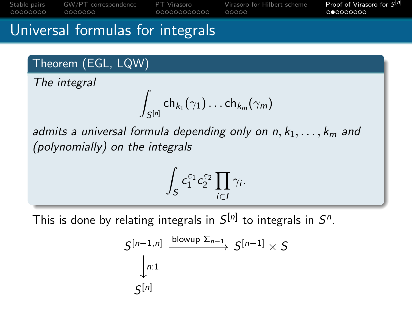[Stable pairs](#page-11-0) [GW/PT correspondence](#page-40-0) [PT Virasoro](#page-0-0) [Virasoro for Hilbert scheme](#page-0-0) [Proof of Virasoro for](#page-0-0) S 0000000 00000000000

Proof of Virasoro for  $S^{[n]}$ 

### Universal formulas for integrals

### Theorem (EGL, LQW)

The integral

$$
\int_{S^{[n]}}\mathsf {ch}_{k_1}(\gamma_1)\ldots \mathsf{ch}_{k_m}(\gamma_m)
$$

admits a universal formula depending only on  $n, k_1, \ldots, k_m$  and (polynomially) on the integrals

$$
\int_{S} c_1^{\varepsilon_1} c_2^{\varepsilon_2} \prod_{i \in I} \gamma_i.
$$

This is done by relating integrals in  $\mathcal{S}^{[n]}$  to integrals in  $\mathcal{S}^n$ .

$$
S^{[n-1,n]} \xrightarrow{\text{blowup }\Sigma_{n-1}} S^{[n-1]} \times S
$$
  

$$
\downarrow_{n:1}
$$
  

$$
S^{[n]}
$$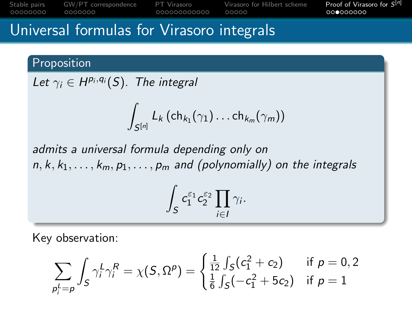[Stable pairs](#page-11-0) [GW/PT correspondence](#page-40-0) [PT Virasoro](#page-0-0) [Virasoro for Hilbert scheme](#page-0-0) [Proof of Virasoro for](#page-0-0) S Proof of Virasoro for  $S^{[n]}$ 00000000000 00000

### Universal formulas for Virasoro integrals

Proposition

Let  $\gamma_i \in H^{p_i,q_i}(S)$ . The integral

$$
\int_{S^{[n]}} L_k(\mathsf{ch}_{k_1}(\gamma_1)\ldots \mathsf{ch}_{k_m}(\gamma_m))
$$

admits a universal formula depending only on  $n, k, k_1, \ldots, k_m, p_1, \ldots, p_m$  and (polynomially) on the integrals

$$
\int_{S} c_1^{\varepsilon_1} c_2^{\varepsilon_2} \prod_{i \in I} \gamma_i.
$$

Key observation:

$$
\sum_{p_i^L = p} \int_S \gamma_i^L \gamma_i^R = \chi(S, \Omega^p) = \begin{cases} \frac{1}{12} \int_S (c_1^2 + c_2) & \text{if } p = 0, 2\\ \frac{1}{6} \int_S (-c_1^2 + 5c_2) & \text{if } p = 1 \end{cases}
$$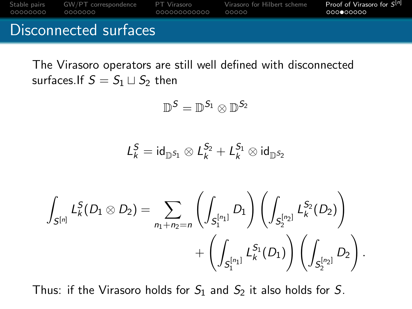

# The Virasoro operators are still well defined with disconnected surfaces.If  $S = S_1 \sqcup S_2$  then

$$
\mathbb{D}^{\mathcal{S}}=\mathbb{D}^{\mathcal{S}_1}\otimes \mathbb{D}^{\mathcal{S}_2}
$$

$$
\mathcal{L}^S_k = \text{id}_{\mathbb{D}^{S_1}} \otimes \mathcal{L}^{S_2}_k + \mathcal{L}^{S_1}_k \otimes \text{id}_{\mathbb{D}^{S_2}}
$$

$$
\int_{S^{[n]}} L_k^S(D_1 \otimes D_2) = \sum_{n_1 + n_2 = n} \left( \int_{S_1^{[n_1]}} D_1 \right) \left( \int_{S_2^{[n_2]}} L_k^{S_2}(D_2) \right) + \left( \int_{S_1^{[n_1]}} L_k^{S_1}(D_1) \right) \left( \int_{S_2^{[n_2]}} D_2 \right).
$$

Thus: if the Virasoro holds for  $S_1$  and  $S_2$  it also holds for S.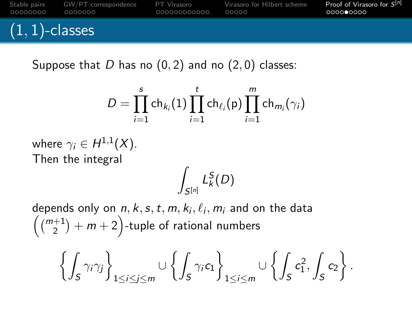[Stable pairs](#page-11-0) [GW/PT correspondence](#page-40-0) [PT Virasoro](#page-0-0) [Virasoro for Hilbert scheme](#page-0-0) [Proof of Virasoro for](#page-0-0) S Proof of Virasoro for  $S^{[n]}$  $(1, 1)$ -classes

Suppose that D has no  $(0, 2)$  and no  $(2, 0)$  classes:

$$
D=\prod_{i=1}^s \mathsf {ch}_{k_i}(1) \prod_{i=1}^t \mathsf{ch}_{\ell_i}({\mathsf p}) \prod_{i=1}^m \mathsf{ch}_{m_i}(\gamma_i)
$$

where  $\gamma_i \in H^{1,1}(X)$ . Then the integral

$$
\int_{S^{[n]}} L^S_k(D)
$$

depends only on  $n, k, s, t, m, k_i, \ell_i, m_i$  and on the data  $\left(\binom{m+1}{2}+m+2\right)$ -tuple of rational numbers

$$
\left\{\int_S\gamma_i\gamma_j\right\}_{1\leq i\leq j\leq m}\cup\left\{\int_S\gamma_i c_1\right\}_{1\leq i\leq m}\cup\left\{\int_Sc_1^2,\int_Sc_2\right\}.
$$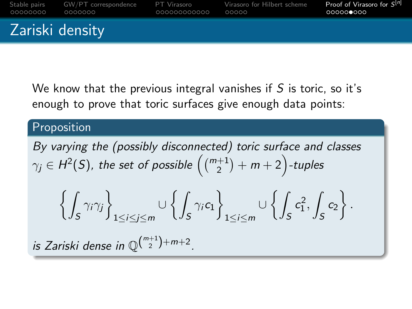<span id="page-40-0"></span>

We know that the previous integral vanishes if  $S$  is toric, so it's enough to prove that toric surfaces give enough data points:

#### **Proposition**

By varying the (possibly disconnected) toric surface and classes  $\gamma_j \in H^2(S)$ , the set of possible  $\left( \binom{m+1}{2} + m+2 \right)$ -tuples

$$
\left\{\int_S\gamma_i\gamma_j\right\}_{1\leq i\leq j\leq m}\cup\left\{\int_S\gamma_i c_1\right\}_{1\leq i\leq m}\cup\left\{\int_Sc_1^2,\int_Sc_2\right\}.
$$

is Zariski dense in  $\mathbb{Q}^{\binom{m+1}{2}+m+2}$ .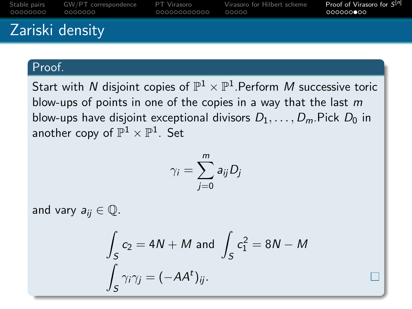| 00000000        | Stable pairs GW/PT correspondence PT Virasoro<br>0000000 | _000000000000 | Virasoro for Hilbert scheme<br>COOOO - | Proof of Virasoro for $S^{[n]}$<br>- ∩∩∩∩∩∩●∩∩ |  |  |  |  |
|-----------------|----------------------------------------------------------|---------------|----------------------------------------|------------------------------------------------|--|--|--|--|
| Zariski density |                                                          |               |                                        |                                                |  |  |  |  |

#### Proof.

Start with  $N$  disjoint copies of  $\mathbb{P}^1 \times \mathbb{P}^1.$ Perform  $M$  successive toric blow-ups of points in one of the copies in a way that the last  $m$ blow-ups have disjoint exceptional divisors  $D_1, \ldots, D_m$ . Pick  $D_0$  in another copy of  $\mathbb{P}^1 \times \mathbb{P}^1.$  Set

$$
\gamma_i = \sum_{j=0}^m a_{ij} D_j
$$

and vary  $a_{ij} \in \mathbb{Q}$ .

$$
\int_{S} c_2 = 4N + M \text{ and } \int_{S} c_1^2 = 8N - M
$$

$$
\int_{S} \gamma_i \gamma_j = (-AA^t)_{ij}.
$$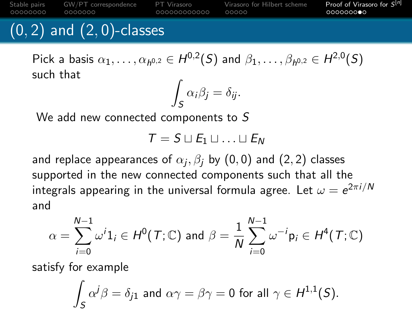00000000

0000000

000000000000

[Stable pairs](#page-11-0) [GW/PT correspondence](#page-40-0) [PT Virasoro](#page-0-0) [Virasoro for Hilbert scheme](#page-0-0) [Proof of Virasoro for](#page-0-0) S  $00000$ 

Proof of Virasoro for  $S^{[n]}$ 

# $(0, 2)$  and  $(2, 0)$ -classes

Pick a basis  $\alpha_1,\ldots,\alpha_{h^{0,2}}\in H^{0,2}(S)$  and  $\beta_1,\ldots,\beta_{h^{0,2}}\in H^{2,0}(S)$ such that

$$
\int_{S} \alpha_{i} \beta_{j} = \delta_{ij}.
$$

We add new connected components to S

$$
\mathcal{T} = \mathcal{S} \sqcup \mathcal{E}_1 \sqcup \ldots \sqcup \mathcal{E}_N
$$

and replace appearances of  $\alpha_j, \beta_j$  by  $(0,0)$  and  $(2,2)$  classes supported in the new connected components such that all the integrals appearing in the universal formula agree. Let  $\omega=e^{2\pi i/N}$ and

$$
\alpha = \sum_{i=0}^{N-1} \omega^i 1_i \in H^0(\mathcal{T}; \mathbb{C}) \text{ and } \beta = \frac{1}{N} \sum_{i=0}^{N-1} \omega^{-i} \mathsf{p}_i \in H^4(\mathcal{T}; \mathbb{C})
$$

satisfy for example

$$
\int_S \alpha^j \beta = \delta_{j1} \text{ and } \alpha \gamma = \beta \gamma = 0 \text{ for all } \gamma \in H^{1,1}(S).
$$